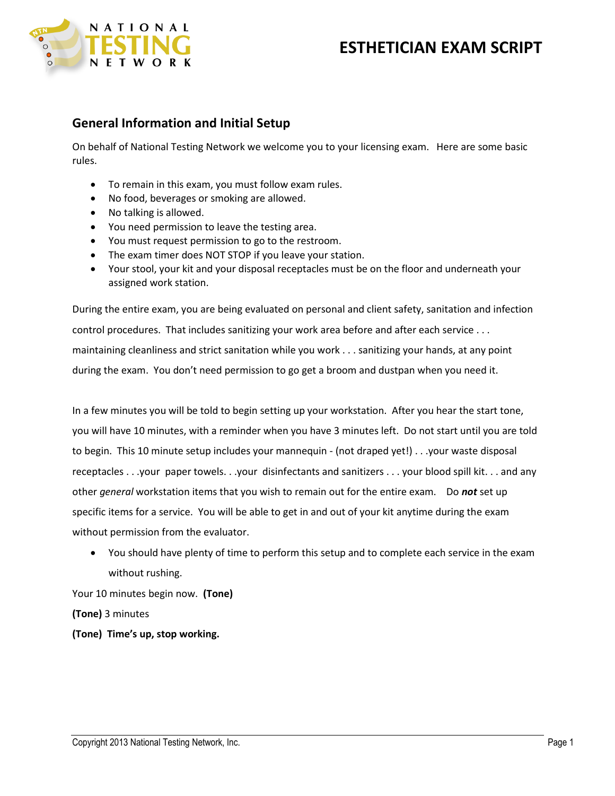

## **General Information and Initial Setup**

On behalf of National Testing Network we welcome you to your licensing exam. Here are some basic rules.

- To remain in this exam, you must follow exam rules.
- No food, beverages or smoking are allowed.
- No talking is allowed.
- You need permission to leave the testing area.
- You must request permission to go to the restroom.
- The exam timer does NOT STOP if you leave your station.
- Your stool, your kit and your disposal receptacles must be on the floor and underneath your assigned work station.

During the entire exam, you are being evaluated on personal and client safety, sanitation and infection control procedures. That includes sanitizing your work area before and after each service . . . maintaining cleanliness and strict sanitation while you work . . . sanitizing your hands, at any point during the exam. You don't need permission to go get a broom and dustpan when you need it.

In a few minutes you will be told to begin setting up your workstation. After you hear the start tone, you will have 10 minutes, with a reminder when you have 3 minutes left. Do not start until you are told to begin. This 10 minute setup includes your mannequin - (not draped yet!) . . .your waste disposal receptacles . . .your paper towels. . .your disinfectants and sanitizers . . . your blood spill kit. . . and any other *general* workstation items that you wish to remain out for the entire exam. Do *not* set up specific items for a service. You will be able to get in and out of your kit anytime during the exam without permission from the evaluator.

 You should have plenty of time to perform this setup and to complete each service in the exam without rushing.

Your 10 minutes begin now. **(Tone)**

**(Tone)** 3 minutes

**(Tone) Time's up, stop working.**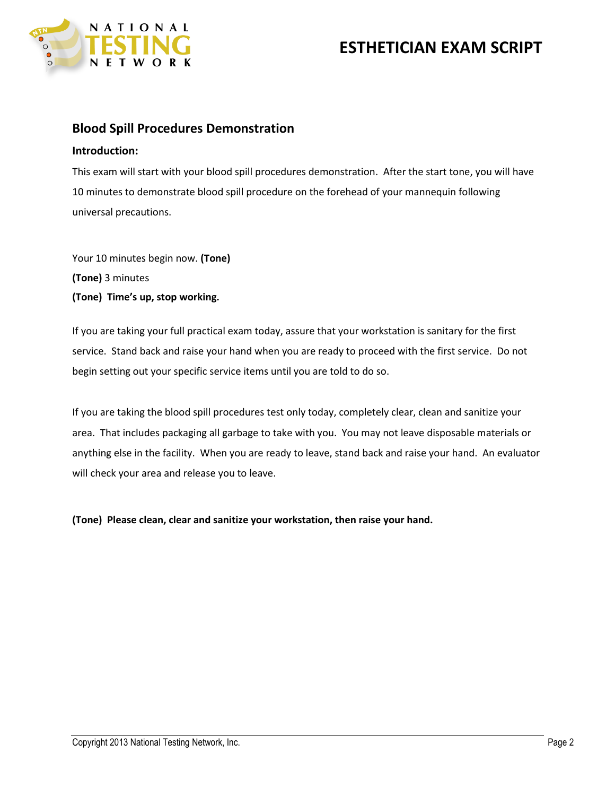

### **Blood Spill Procedures Demonstration**

#### **Introduction:**

This exam will start with your blood spill procedures demonstration. After the start tone, you will have 10 minutes to demonstrate blood spill procedure on the forehead of your mannequin following universal precautions.

Your 10 minutes begin now. **(Tone) (Tone)** 3 minutes **(Tone) Time's up, stop working.**

If you are taking your full practical exam today, assure that your workstation is sanitary for the first service. Stand back and raise your hand when you are ready to proceed with the first service. Do not begin setting out your specific service items until you are told to do so.

If you are taking the blood spill procedures test only today, completely clear, clean and sanitize your area. That includes packaging all garbage to take with you. You may not leave disposable materials or anything else in the facility. When you are ready to leave, stand back and raise your hand. An evaluator will check your area and release you to leave.

**(Tone) Please clean, clear and sanitize your workstation, then raise your hand.**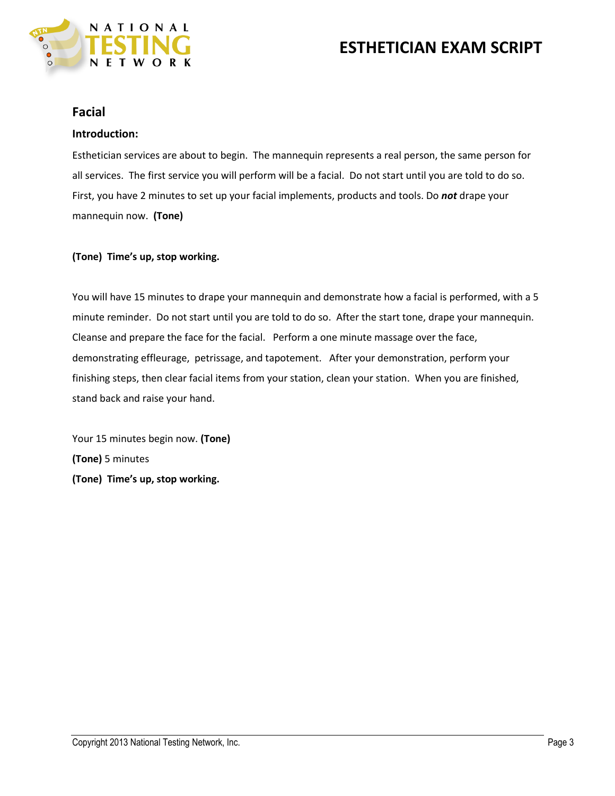

### **Facial**

### **Introduction:**

Esthetician services are about to begin. The mannequin represents a real person, the same person for all services. The first service you will perform will be a facial. Do not start until you are told to do so. First, you have 2 minutes to set up your facial implements, products and tools. Do *not* drape your mannequin now. **(Tone)**

### **(Tone) Time's up, stop working.**

You will have 15 minutes to drape your mannequin and demonstrate how a facial is performed, with a 5 minute reminder. Do not start until you are told to do so. After the start tone, drape your mannequin. Cleanse and prepare the face for the facial. Perform a one minute massage over the face, demonstrating effleurage, petrissage, and tapotement. After your demonstration, perform your finishing steps, then clear facial items from your station, clean your station. When you are finished, stand back and raise your hand.

Your 15 minutes begin now. **(Tone) (Tone)** 5 minutes **(Tone) Time's up, stop working.**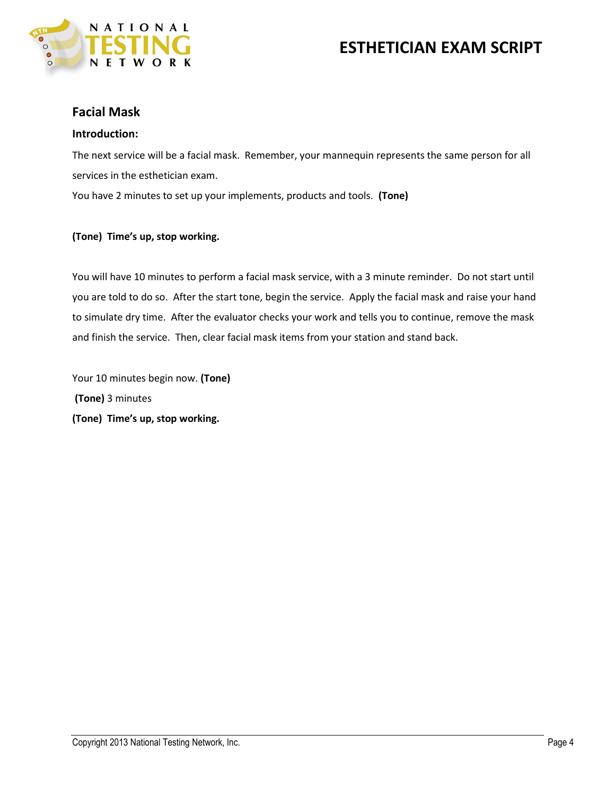

### **Facial Mask**

#### **Introduction:**

The next service will be a facial mask. Remember, your mannequin represents the same person for all services in the esthetician exam.

You have 2 minutes to set up your implements, products and tools. **(Tone)**

#### **(Tone) Time's up, stop working.**

You will have 10 minutes to perform a facial mask service, with a 3 minute reminder. Do not start until you are told to do so. After the start tone, begin the service. Apply the facial mask and raise your hand to simulate dry time. After the evaluator checks your work and tells you to continue, remove the mask and finish the service. Then, clear facial mask items from your station and stand back.

Your 10 minutes begin now. **(Tone) (Tone)** 3 minutes **(Tone) Time's up, stop working.**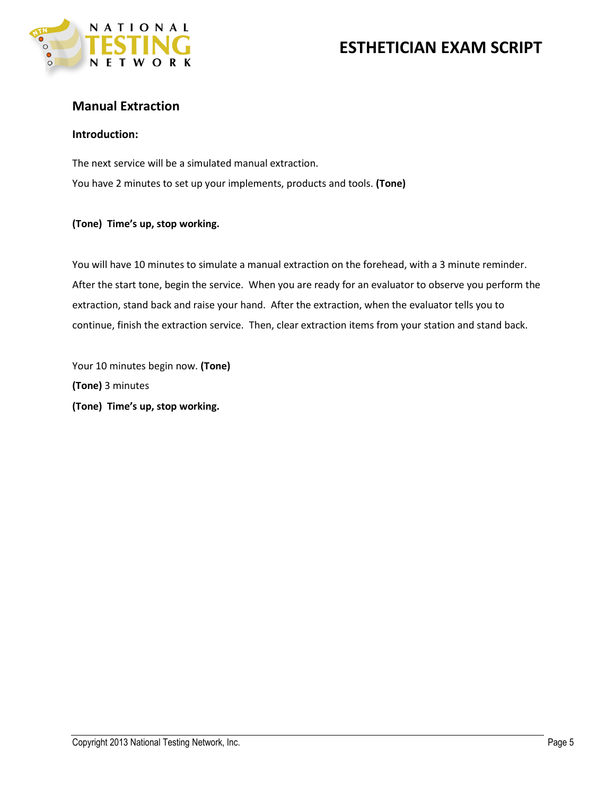

## **Manual Extraction**

### **Introduction:**

The next service will be a simulated manual extraction. You have 2 minutes to set up your implements, products and tools. **(Tone)**

#### **(Tone) Time's up, stop working.**

You will have 10 minutes to simulate a manual extraction on the forehead, with a 3 minute reminder. After the start tone, begin the service. When you are ready for an evaluator to observe you perform the extraction, stand back and raise your hand. After the extraction, when the evaluator tells you to continue, finish the extraction service. Then, clear extraction items from your station and stand back.

Your 10 minutes begin now. **(Tone) (Tone)** 3 minutes **(Tone) Time's up, stop working.**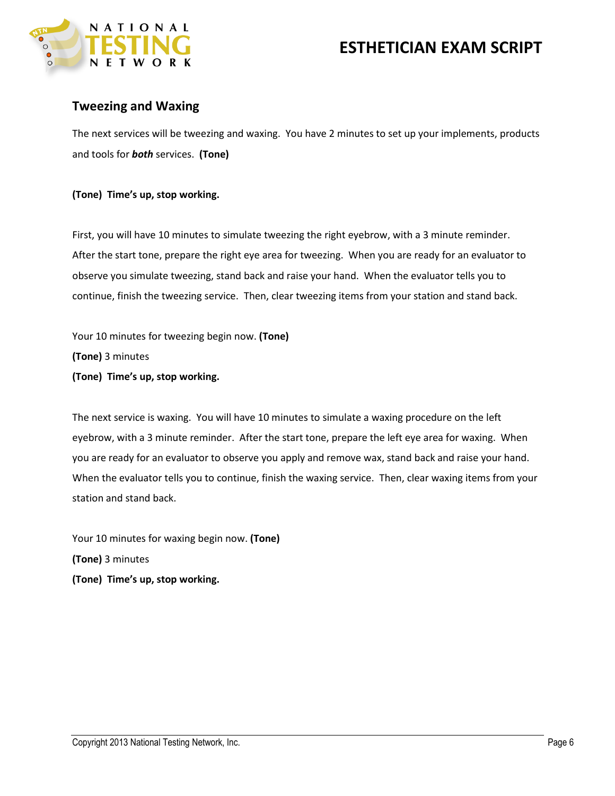

## **Tweezing and Waxing**

The next services will be tweezing and waxing. You have 2 minutes to set up your implements, products and tools for *both* services. **(Tone)**

### **(Tone) Time's up, stop working.**

First, you will have 10 minutes to simulate tweezing the right eyebrow, with a 3 minute reminder. After the start tone, prepare the right eye area for tweezing. When you are ready for an evaluator to observe you simulate tweezing, stand back and raise your hand. When the evaluator tells you to continue, finish the tweezing service. Then, clear tweezing items from your station and stand back.

Your 10 minutes for tweezing begin now. **(Tone) (Tone)** 3 minutes **(Tone) Time's up, stop working.** 

The next service is waxing. You will have 10 minutes to simulate a waxing procedure on the left eyebrow, with a 3 minute reminder. After the start tone, prepare the left eye area for waxing. When you are ready for an evaluator to observe you apply and remove wax, stand back and raise your hand. When the evaluator tells you to continue, finish the waxing service. Then, clear waxing items from your station and stand back.

Your 10 minutes for waxing begin now. **(Tone) (Tone)** 3 minutes **(Tone) Time's up, stop working.**